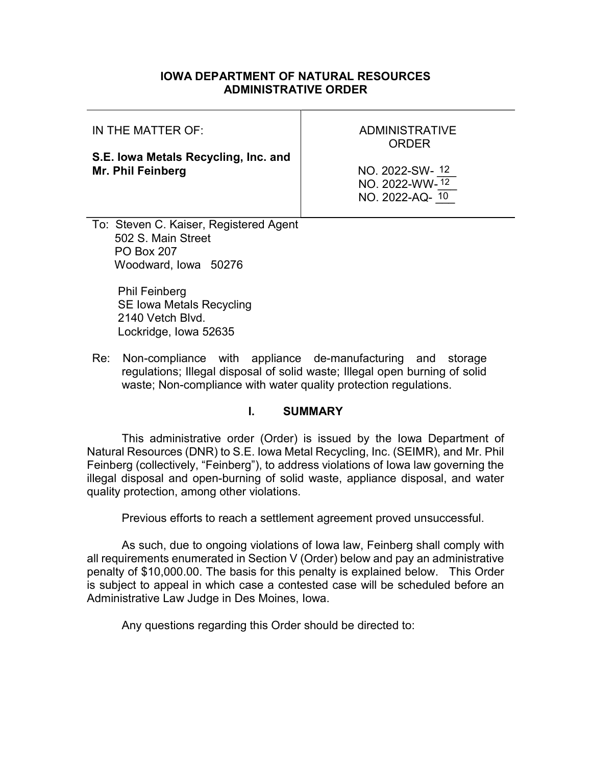## IOWA DEPARTMENT OF NATURAL RESOURCES ADMINISTRATIVE ORDER

| IN THE MATTER OF:                                                | <b>ADMINISTRATIVE</b><br>ORDER                      |
|------------------------------------------------------------------|-----------------------------------------------------|
| S.E. Iowa Metals Recycling, Inc. and<br>Mr. Phil Feinberg        | NO. 2022-SW-12<br>NO. 2022-WW-12<br>NO. 2022-AQ- 10 |
| $\sim$ $\sim$ $\sim$<br>$\overline{\phantom{a}}$<br>$\mathbf{A}$ |                                                     |

To: Steven C. Kaiser, Registered Agent 502 S. Main Street PO Box 207 Woodward, Iowa 50276

> Phil Feinberg SE Iowa Metals Recycling 2140 Vetch Blvd. Lockridge, Iowa 52635

Re: Non-compliance with appliance de-manufacturing and storage regulations; Illegal disposal of solid waste; Illegal open burning of solid waste; Non-compliance with water quality protection regulations.

#### I. SUMMARY

This administrative order (Order) is issued by the Iowa Department of Natural Resources (DNR) to S.E. Iowa Metal Recycling, Inc. (SEIMR), and Mr. Phil Feinberg (collectively, "Feinberg"), to address violations of Iowa law governing the illegal disposal and open-burning of solid waste, appliance disposal, and water quality protection, among other violations.

Previous efforts to reach a settlement agreement proved unsuccessful.

As such, due to ongoing violations of Iowa law, Feinberg shall comply with all requirements enumerated in Section V (Order) below and pay an administrative penalty of \$10,000.00. The basis for this penalty is explained below. This Order is subject to appeal in which case a contested case will be scheduled before an Administrative Law Judge in Des Moines, Iowa.

Any questions regarding this Order should be directed to: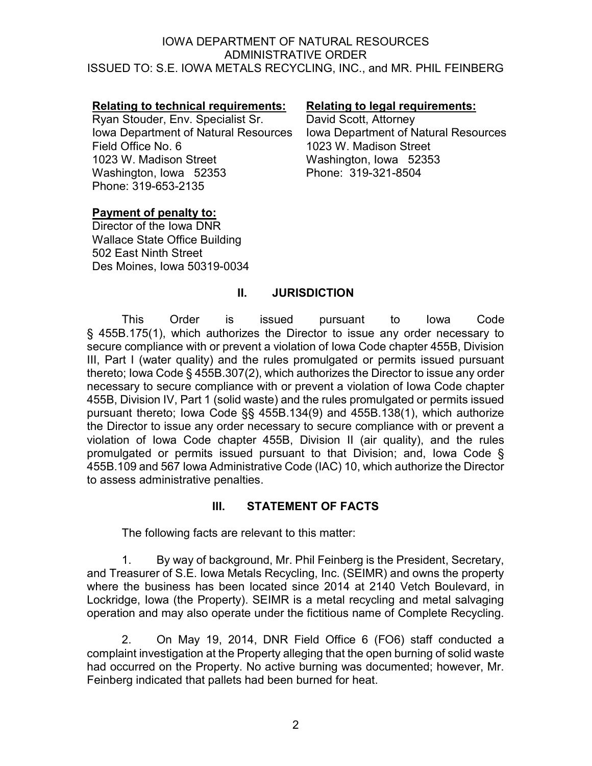## Relating to technical requirements: Relating to legal requirements:

Ryan Stouder, Env. Specialist Sr. David Scott, Attorney Iowa Department of Natural Resources Field Office No. 6 1023 W. Madison Street Washington, Iowa 52353 Phone: 319-653-2135

Iowa Department of Natural Resources 1023 W. Madison Street Washington, Iowa 52353 Phone: 319-321-8504

#### Payment of penalty to:

Director of the Iowa DNR Wallace State Office Building 502 East Ninth Street Des Moines, Iowa 50319-0034

# II. JURISDICTION

This Order is issued pursuant to Iowa Code § 455B.175(1), which authorizes the Director to issue any order necessary to secure compliance with or prevent a violation of Iowa Code chapter 455B, Division III, Part I (water quality) and the rules promulgated or permits issued pursuant thereto; Iowa Code § 455B.307(2), which authorizes the Director to issue any order necessary to secure compliance with or prevent a violation of Iowa Code chapter 455B, Division IV, Part 1 (solid waste) and the rules promulgated or permits issued pursuant thereto; Iowa Code §§ 455B.134(9) and 455B.138(1), which authorize the Director to issue any order necessary to secure compliance with or prevent a violation of Iowa Code chapter 455B, Division II (air quality), and the rules promulgated or permits issued pursuant to that Division; and, Iowa Code § 455B.109 and 567 Iowa Administrative Code (IAC) 10, which authorize the Director to assess administrative penalties.

# III. STATEMENT OF FACTS

The following facts are relevant to this matter:

1. By way of background, Mr. Phil Feinberg is the President, Secretary, and Treasurer of S.E. Iowa Metals Recycling, Inc. (SEIMR) and owns the property where the business has been located since 2014 at 2140 Vetch Boulevard, in Lockridge, Iowa (the Property). SEIMR is a metal recycling and metal salvaging operation and may also operate under the fictitious name of Complete Recycling.

2. On May 19, 2014, DNR Field Office 6 (FO6) staff conducted a complaint investigation at the Property alleging that the open burning of solid waste had occurred on the Property. No active burning was documented; however, Mr. Feinberg indicated that pallets had been burned for heat.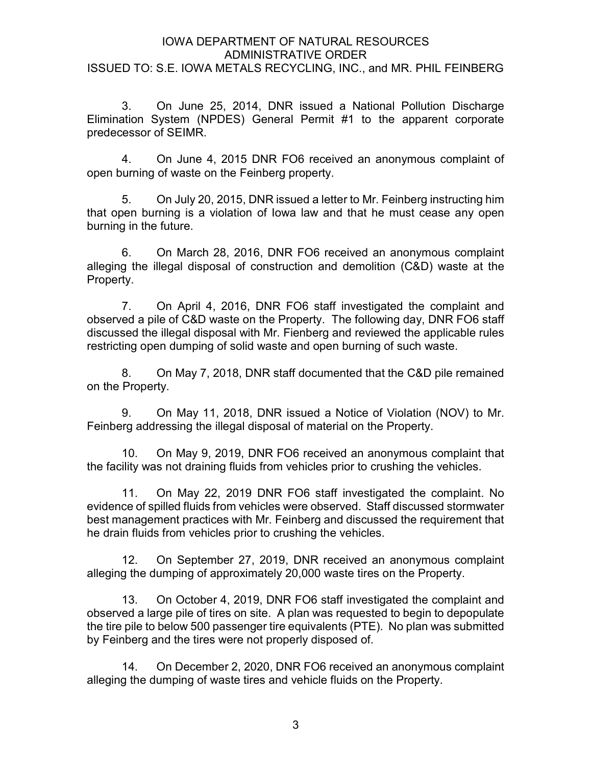3. On June 25, 2014, DNR issued a National Pollution Discharge Elimination System (NPDES) General Permit #1 to the apparent corporate predecessor of SEIMR.

4. On June 4, 2015 DNR FO6 received an anonymous complaint of open burning of waste on the Feinberg property.

5. On July 20, 2015, DNR issued a letter to Mr. Feinberg instructing him that open burning is a violation of Iowa law and that he must cease any open burning in the future.

6. On March 28, 2016, DNR FO6 received an anonymous complaint alleging the illegal disposal of construction and demolition (C&D) waste at the Property.

7. On April 4, 2016, DNR FO6 staff investigated the complaint and observed a pile of C&D waste on the Property. The following day, DNR FO6 staff discussed the illegal disposal with Mr. Fienberg and reviewed the applicable rules restricting open dumping of solid waste and open burning of such waste.

8. On May 7, 2018, DNR staff documented that the C&D pile remained on the Property.

9. On May 11, 2018, DNR issued a Notice of Violation (NOV) to Mr. Feinberg addressing the illegal disposal of material on the Property.

10. On May 9, 2019, DNR FO6 received an anonymous complaint that the facility was not draining fluids from vehicles prior to crushing the vehicles.

11. On May 22, 2019 DNR FO6 staff investigated the complaint. No evidence of spilled fluids from vehicles were observed. Staff discussed stormwater best management practices with Mr. Feinberg and discussed the requirement that he drain fluids from vehicles prior to crushing the vehicles.

12. On September 27, 2019, DNR received an anonymous complaint alleging the dumping of approximately 20,000 waste tires on the Property.

13. On October 4, 2019, DNR FO6 staff investigated the complaint and observed a large pile of tires on site. A plan was requested to begin to depopulate the tire pile to below 500 passenger tire equivalents (PTE). No plan was submitted by Feinberg and the tires were not properly disposed of.

14. On December 2, 2020, DNR FO6 received an anonymous complaint alleging the dumping of waste tires and vehicle fluids on the Property.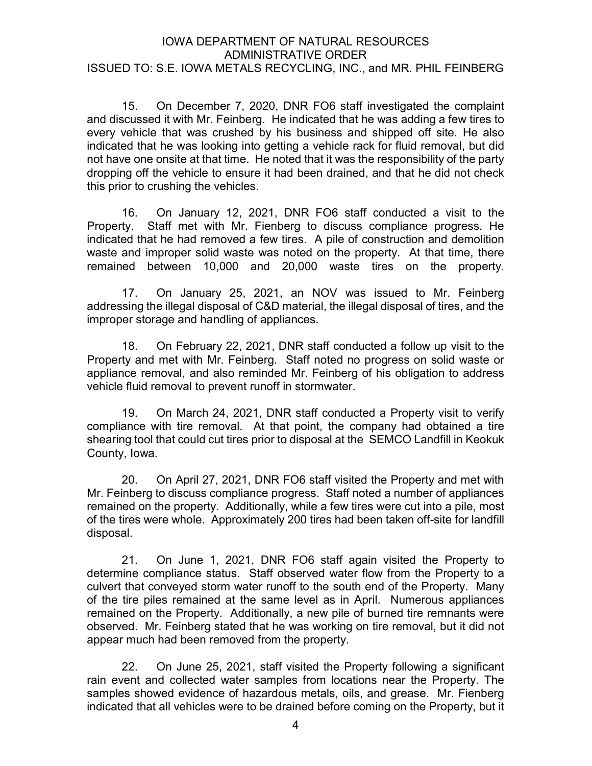15. On December 7, 2020, DNR FO6 staff investigated the complaint and discussed it with Mr. Feinberg. He indicated that he was adding a few tires to every vehicle that was crushed by his business and shipped off site. He also indicated that he was looking into getting a vehicle rack for fluid removal, but did not have one onsite at that time. He noted that it was the responsibility of the party dropping off the vehicle to ensure it had been drained, and that he did not check this prior to crushing the vehicles.

16. On January 12, 2021, DNR FO6 staff conducted a visit to the Property. Staff met with Mr. Fienberg to discuss compliance progress. He indicated that he had removed a few tires. A pile of construction and demolition waste and improper solid waste was noted on the property. At that time, there remained between 10,000 and 20,000 waste tires on the property.

17. On January 25, 2021, an NOV was issued to Mr. Feinberg addressing the illegal disposal of C&D material, the illegal disposal of tires, and the improper storage and handling of appliances.

18. On February 22, 2021, DNR staff conducted a follow up visit to the Property and met with Mr. Feinberg. Staff noted no progress on solid waste or appliance removal, and also reminded Mr. Feinberg of his obligation to address vehicle fluid removal to prevent runoff in stormwater.

19. On March 24, 2021, DNR staff conducted a Property visit to verify compliance with tire removal. At that point, the company had obtained a tire shearing tool that could cut tires prior to disposal at the SEMCO Landfill in Keokuk County, Iowa.

20. On April 27, 2021, DNR FO6 staff visited the Property and met with Mr. Feinberg to discuss compliance progress. Staff noted a number of appliances remained on the property. Additionally, while a few tires were cut into a pile, most of the tires were whole. Approximately 200 tires had been taken off-site for landfill disposal.

21. On June 1, 2021, DNR FO6 staff again visited the Property to determine compliance status. Staff observed water flow from the Property to a culvert that conveyed storm water runoff to the south end of the Property. Many of the tire piles remained at the same level as in April. Numerous appliances remained on the Property. Additionally, a new pile of burned tire remnants were observed. Mr. Feinberg stated that he was working on tire removal, but it did not appear much had been removed from the property.

22. On June 25, 2021, staff visited the Property following a significant rain event and collected water samples from locations near the Property. The samples showed evidence of hazardous metals, oils, and grease. Mr. Fienberg indicated that all vehicles were to be drained before coming on the Property, but it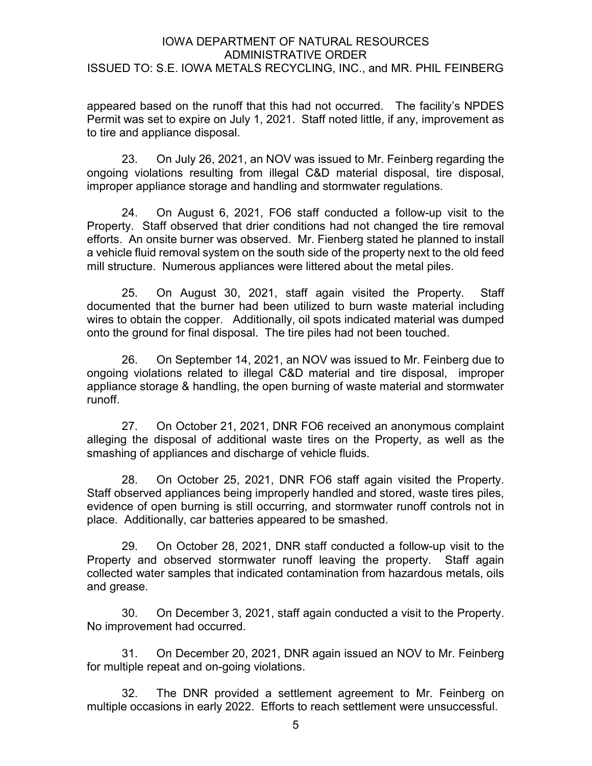appeared based on the runoff that this had not occurred. The facility's NPDES Permit was set to expire on July 1, 2021. Staff noted little, if any, improvement as to tire and appliance disposal.

23. On July 26, 2021, an NOV was issued to Mr. Feinberg regarding the ongoing violations resulting from illegal C&D material disposal, tire disposal, improper appliance storage and handling and stormwater regulations.

24. On August 6, 2021, FO6 staff conducted a follow-up visit to the Property. Staff observed that drier conditions had not changed the tire removal efforts. An onsite burner was observed. Mr. Fienberg stated he planned to install a vehicle fluid removal system on the south side of the property next to the old feed mill structure. Numerous appliances were littered about the metal piles.

25. On August 30, 2021, staff again visited the Property. Staff documented that the burner had been utilized to burn waste material including wires to obtain the copper. Additionally, oil spots indicated material was dumped onto the ground for final disposal. The tire piles had not been touched.

26. On September 14, 2021, an NOV was issued to Mr. Feinberg due to ongoing violations related to illegal C&D material and tire disposal, improper appliance storage & handling, the open burning of waste material and stormwater runoff.

27. On October 21, 2021, DNR FO6 received an anonymous complaint alleging the disposal of additional waste tires on the Property, as well as the smashing of appliances and discharge of vehicle fluids.

28. On October 25, 2021, DNR FO6 staff again visited the Property. Staff observed appliances being improperly handled and stored, waste tires piles, evidence of open burning is still occurring, and stormwater runoff controls not in place. Additionally, car batteries appeared to be smashed.

29. On October 28, 2021, DNR staff conducted a follow-up visit to the Property and observed stormwater runoff leaving the property. Staff again collected water samples that indicated contamination from hazardous metals, oils and grease.

30. On December 3, 2021, staff again conducted a visit to the Property. No improvement had occurred.

31. On December 20, 2021, DNR again issued an NOV to Mr. Feinberg for multiple repeat and on-going violations.

32. The DNR provided a settlement agreement to Mr. Feinberg on multiple occasions in early 2022. Efforts to reach settlement were unsuccessful.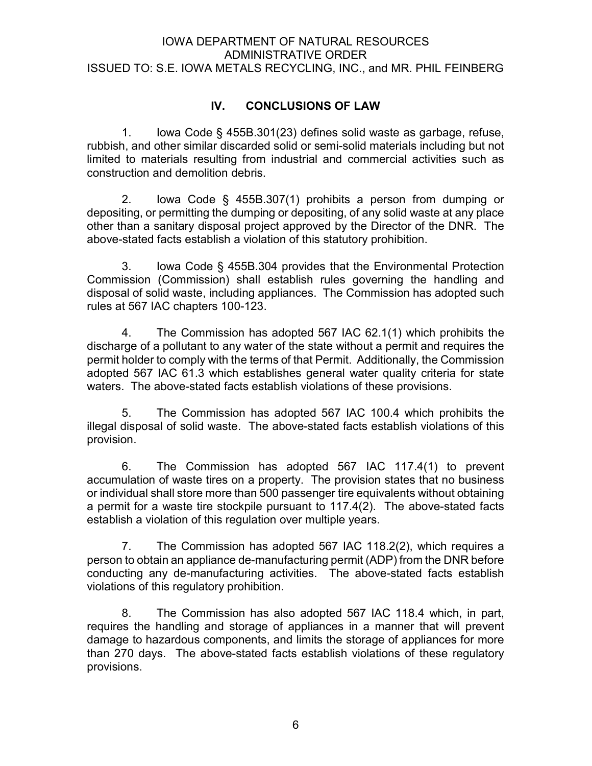# IV. CONCLUSIONS OF LAW

1. Iowa Code § 455B.301(23) defines solid waste as garbage, refuse, rubbish, and other similar discarded solid or semi-solid materials including but not limited to materials resulting from industrial and commercial activities such as construction and demolition debris.

2. Iowa Code § 455B.307(1) prohibits a person from dumping or depositing, or permitting the dumping or depositing, of any solid waste at any place other than a sanitary disposal project approved by the Director of the DNR. The above-stated facts establish a violation of this statutory prohibition.

3. Iowa Code § 455B.304 provides that the Environmental Protection Commission (Commission) shall establish rules governing the handling and disposal of solid waste, including appliances. The Commission has adopted such rules at 567 IAC chapters 100-123.

4. The Commission has adopted 567 IAC 62.1(1) which prohibits the discharge of a pollutant to any water of the state without a permit and requires the permit holder to comply with the terms of that Permit. Additionally, the Commission adopted 567 IAC 61.3 which establishes general water quality criteria for state waters. The above-stated facts establish violations of these provisions.

5. The Commission has adopted 567 IAC 100.4 which prohibits the illegal disposal of solid waste. The above-stated facts establish violations of this provision.

6. The Commission has adopted 567 IAC 117.4(1) to prevent accumulation of waste tires on a property. The provision states that no business or individual shall store more than 500 passenger tire equivalents without obtaining a permit for a waste tire stockpile pursuant to 117.4(2). The above-stated facts establish a violation of this regulation over multiple years.

7. The Commission has adopted 567 IAC 118.2(2), which requires a person to obtain an appliance de-manufacturing permit (ADP) from the DNR before conducting any de-manufacturing activities. The above-stated facts establish violations of this regulatory prohibition.

8. The Commission has also adopted 567 IAC 118.4 which, in part, requires the handling and storage of appliances in a manner that will prevent damage to hazardous components, and limits the storage of appliances for more than 270 days. The above-stated facts establish violations of these regulatory provisions.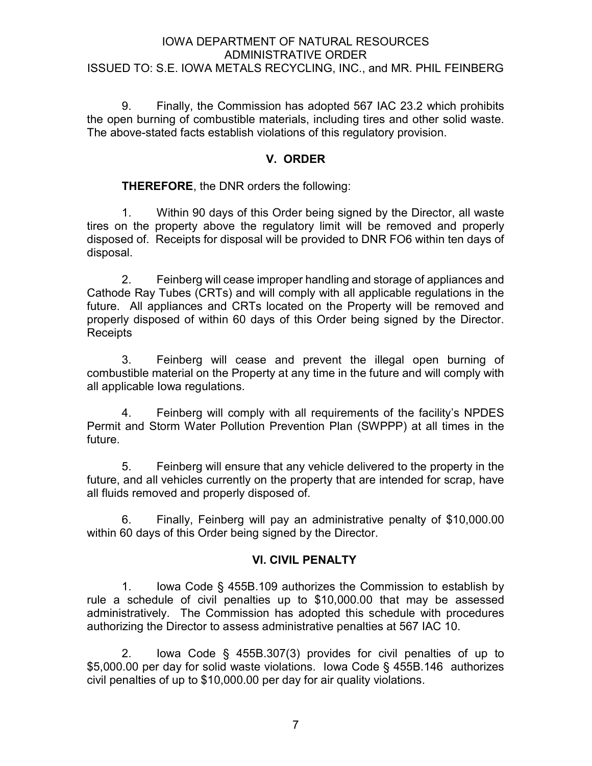9. Finally, the Commission has adopted 567 IAC 23.2 which prohibits the open burning of combustible materials, including tires and other solid waste. The above-stated facts establish violations of this regulatory provision.

# V. ORDER

# **THEREFORE, the DNR orders the following:**

1. Within 90 days of this Order being signed by the Director, all waste tires on the property above the regulatory limit will be removed and properly disposed of. Receipts for disposal will be provided to DNR FO6 within ten days of disposal.

2. Feinberg will cease improper handling and storage of appliances and Cathode Ray Tubes (CRTs) and will comply with all applicable regulations in the future. All appliances and CRTs located on the Property will be removed and properly disposed of within 60 days of this Order being signed by the Director. Receipts

3. Feinberg will cease and prevent the illegal open burning of combustible material on the Property at any time in the future and will comply with all applicable Iowa regulations.

4. Feinberg will comply with all requirements of the facility's NPDES Permit and Storm Water Pollution Prevention Plan (SWPPP) at all times in the future.

5. Feinberg will ensure that any vehicle delivered to the property in the future, and all vehicles currently on the property that are intended for scrap, have all fluids removed and properly disposed of.

6. Finally, Feinberg will pay an administrative penalty of \$10,000.00 within 60 days of this Order being signed by the Director.

## VI. CIVIL PENALTY

1. Iowa Code § 455B.109 authorizes the Commission to establish by rule a schedule of civil penalties up to \$10,000.00 that may be assessed administratively. The Commission has adopted this schedule with procedures authorizing the Director to assess administrative penalties at 567 IAC 10.

2. Iowa Code § 455B.307(3) provides for civil penalties of up to \$5,000.00 per day for solid waste violations. Iowa Code § 455B.146 authorizes civil penalties of up to \$10,000.00 per day for air quality violations.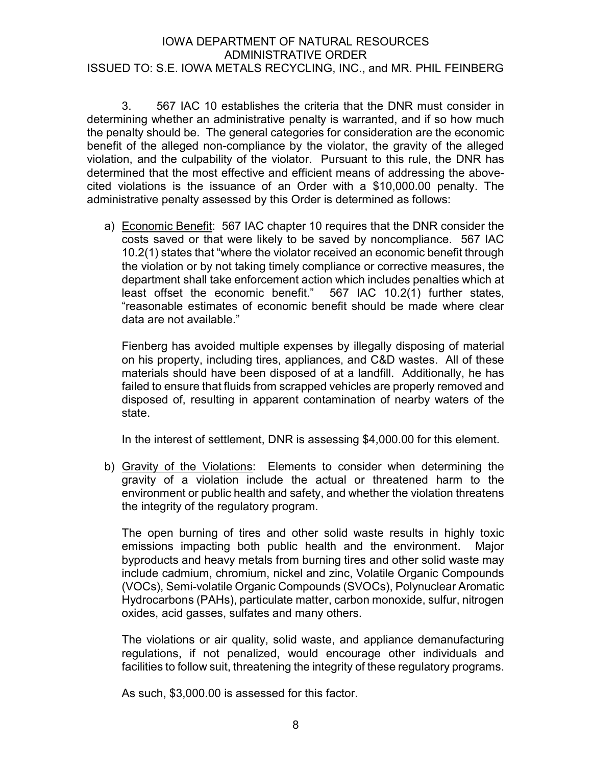3. 567 IAC 10 establishes the criteria that the DNR must consider in determining whether an administrative penalty is warranted, and if so how much the penalty should be. The general categories for consideration are the economic benefit of the alleged non-compliance by the violator, the gravity of the alleged violation, and the culpability of the violator. Pursuant to this rule, the DNR has determined that the most effective and efficient means of addressing the abovecited violations is the issuance of an Order with a \$10,000.00 penalty. The administrative penalty assessed by this Order is determined as follows:

a) Economic Benefit: 567 IAC chapter 10 requires that the DNR consider the costs saved or that were likely to be saved by noncompliance. 567 IAC 10.2(1) states that "where the violator received an economic benefit through the violation or by not taking timely compliance or corrective measures, the department shall take enforcement action which includes penalties which at least offset the economic benefit." 567 IAC 10.2(1) further states, "reasonable estimates of economic benefit should be made where clear data are not available."

Fienberg has avoided multiple expenses by illegally disposing of material on his property, including tires, appliances, and C&D wastes. All of these materials should have been disposed of at a landfill. Additionally, he has failed to ensure that fluids from scrapped vehicles are properly removed and disposed of, resulting in apparent contamination of nearby waters of the state.

In the interest of settlement, DNR is assessing \$4,000.00 for this element.

b) Gravity of the Violations: Elements to consider when determining the gravity of a violation include the actual or threatened harm to the environment or public health and safety, and whether the violation threatens the integrity of the regulatory program.

The open burning of tires and other solid waste results in highly toxic emissions impacting both public health and the environment. Major byproducts and heavy metals from burning tires and other solid waste may include cadmium, chromium, nickel and zinc, Volatile Organic Compounds (VOCs), Semi-volatile Organic Compounds (SVOCs), Polynuclear Aromatic Hydrocarbons (PAHs), particulate matter, carbon monoxide, sulfur, nitrogen oxides, acid gasses, sulfates and many others.

The violations or air quality, solid waste, and appliance demanufacturing regulations, if not penalized, would encourage other individuals and facilities to follow suit, threatening the integrity of these regulatory programs.

As such, \$3,000.00 is assessed for this factor.